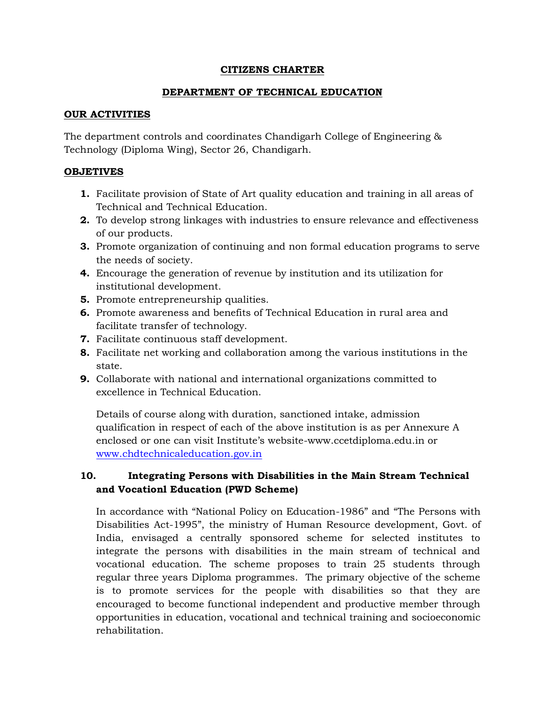#### **CITIZENS CHARTER**

## **DEPARTMENT OF TECHNICAL EDUCATION**

#### **OUR ACTIVITIES**

The department controls and coordinates Chandigarh College of Engineering & Technology (Diploma Wing), Sector 26, Chandigarh.

### **OBJETIVES**

- **1.** Facilitate provision of State of Art quality education and training in all areas of Technical and Technical Education.
- **2.** To develop strong linkages with industries to ensure relevance and effectiveness of our products.
- **3.** Promote organization of continuing and non formal education programs to serve the needs of society.
- **4.** Encourage the generation of revenue by institution and its utilization for institutional development.
- **5.** Promote entrepreneurship qualities.
- **6.** Promote awareness and benefits of Technical Education in rural area and facilitate transfer of technology.
- **7.** Facilitate continuous staff development.
- **8.** Facilitate net working and collaboration among the various institutions in the state.
- **9.** Collaborate with national and international organizations committed to excellence in Technical Education.

Details of course along with duration, sanctioned intake, admission qualification in respect of each of the above institution is as per Annexure A enclosed or one can visit Institute's website-www.ccetdiploma.edu.in or [www.chdtechnicaleducation.gov.in](http://www.chdtechnicaleducation.gov.in/)

# **10. Integrating Persons with Disabilities in the Main Stream Technical and Vocationl Education (PWD Scheme)**

In accordance with "National Policy on Education-1986" and "The Persons with Disabilities Act-1995", the ministry of Human Resource development, Govt. of India, envisaged a centrally sponsored scheme for selected institutes to integrate the persons with disabilities in the main stream of technical and vocational education. The scheme proposes to train 25 students through regular three years Diploma programmes. The primary objective of the scheme is to promote services for the people with disabilities so that they are encouraged to become functional independent and productive member through opportunities in education, vocational and technical training and socioeconomic rehabilitation.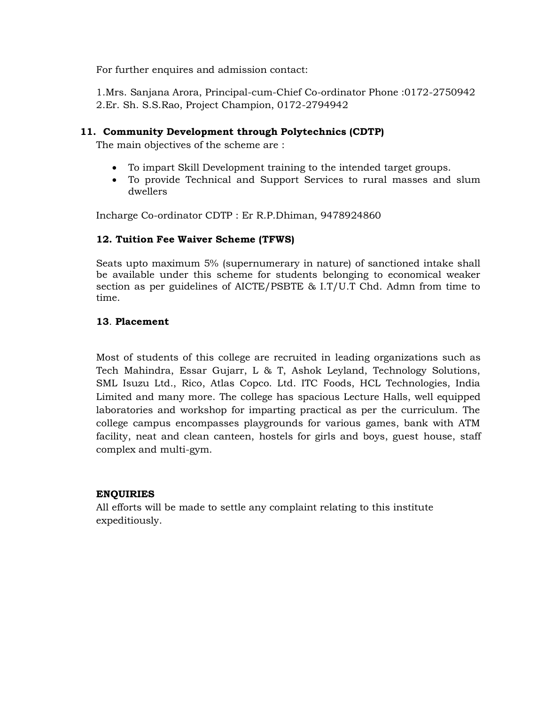For further enquires and admission contact:

1.Mrs. Sanjana Arora, Principal-cum-Chief Co-ordinator Phone :0172-2750942 2.Er. Sh. S.S.Rao, Project Champion, 0172-2794942

#### **11. Community Development through Polytechnics (CDTP)**

The main objectives of the scheme are :

- To impart Skill Development training to the intended target groups.
- To provide Technical and Support Services to rural masses and slum dwellers

Incharge Co-ordinator CDTP : Er R.P.Dhiman, 9478924860

### **12. Tuition Fee Waiver Scheme (TFWS)**

Seats upto maximum 5% (supernumerary in nature) of sanctioned intake shall be available under this scheme for students belonging to economical weaker section as per guidelines of AICTE/PSBTE & I.T/U.T Chd. Admn from time to time.

#### **13**. **Placement**

Most of students of this college are recruited in leading organizations such as Tech Mahindra, Essar Gujarr, L & T, Ashok Leyland, Technology Solutions, SML Isuzu Ltd., Rico, Atlas Copco. Ltd. ITC Foods, HCL Technologies, India Limited and many more. The college has spacious Lecture Halls, well equipped laboratories and workshop for imparting practical as per the curriculum. The college campus encompasses playgrounds for various games, bank with ATM facility, neat and clean canteen, hostels for girls and boys, guest house, staff complex and multi-gym.

#### **ENQUIRIES**

All efforts will be made to settle any complaint relating to this institute expeditiously.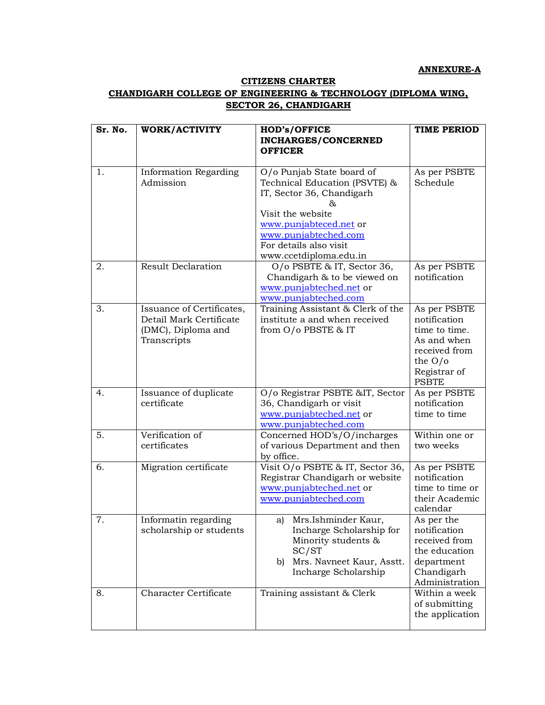#### **ANNEXURE-A**

#### **CITIZENS CHARTER**

## **CHANDIGARH COLLEGE OF ENGINEERING & TECHNOLOGY (DIPLOMA WING, SECTOR 26, CHANDIGARH**

| Sr. No. | WORK/ACTIVITY                                                                             | <b>HOD's/OFFICE</b><br><b>INCHARGES/CONCERNED</b>                                                                                                                                                                        | TIME PERIOD                                                                                                                |
|---------|-------------------------------------------------------------------------------------------|--------------------------------------------------------------------------------------------------------------------------------------------------------------------------------------------------------------------------|----------------------------------------------------------------------------------------------------------------------------|
|         |                                                                                           | <b>OFFICER</b>                                                                                                                                                                                                           |                                                                                                                            |
| 1.      | <b>Information Regarding</b><br>Admission                                                 | O/o Punjab State board of<br>Technical Education (PSVTE) &<br>IT, Sector 36, Chandigarh<br>&.<br>Visit the website<br>www.punjabteced.net or<br>www.punjabteched.com<br>For details also visit<br>www.ccetdiploma.edu.in | As per PSBTE<br>Schedule                                                                                                   |
| 2.      | <b>Result Declaration</b>                                                                 | O/o PSBTE & IT, Sector 36,<br>Chandigarh & to be viewed on<br>www.punjabteched.net or<br>www.punjabteched.com                                                                                                            | As per PSBTE<br>notification                                                                                               |
| 3.      | Issuance of Certificates,<br>Detail Mark Certificate<br>(DMC), Diploma and<br>Transcripts | Training Assistant & Clerk of the<br>institute a and when received<br>from O/o PBSTE & IT                                                                                                                                | As per PSBTE<br>notification<br>time to time.<br>As and when<br>received from<br>the $O/O$<br>Registrar of<br><b>PSBTE</b> |
| 4.      | Issuance of duplicate<br>certificate                                                      | O/o Registrar PSBTE &IT, Sector<br>36, Chandigarh or visit<br>www.punjabteched.net or<br>www.punjabteched.com                                                                                                            | As per PSBTE<br>notification<br>time to time                                                                               |
| 5.      | Verification of<br>certificates                                                           | Concerned HOD's/O/incharges<br>of various Department and then<br>by office.                                                                                                                                              | Within one or<br>two weeks                                                                                                 |
| 6.      | Migration certificate                                                                     | Visit O/o PSBTE & IT, Sector 36,<br>Registrar Chandigarh or website<br>www.punjabteched.net or<br>www.punjabteched.com                                                                                                   | As per PSBTE<br>notification<br>time to time or<br>their Academic<br>calendar                                              |
| 7.      | Informatin regarding<br>scholarship or students                                           | Mrs.Ishminder Kaur,<br>al<br>Incharge Scholarship for<br>Minority students &<br>SC/ST<br>Mrs. Navneet Kaur, Asstt.<br>b)<br>Incharge Scholarship                                                                         | As per the<br>notification<br>received from<br>the education<br>department<br>Chandigarh<br>Administration                 |
| 8.      | <b>Character Certificate</b>                                                              | Training assistant & Clerk                                                                                                                                                                                               | Within a week<br>of submitting<br>the application                                                                          |